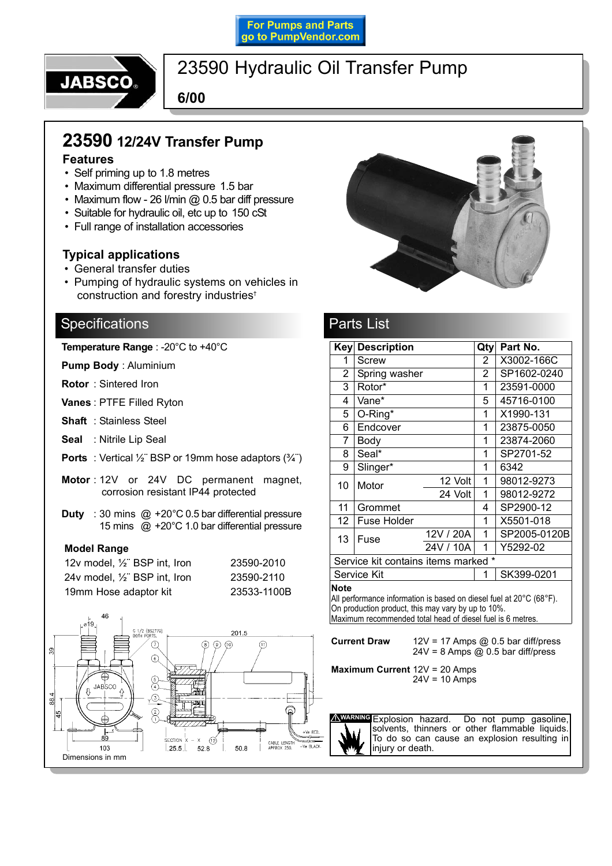### **For Pumps and Parts** go to PumpVendor.com



## 23590 Hydraulic Oil Transfer Pump

**6/00**

# **23590 12/24V Transfer Pump**

### **Features**

- Self priming up to 1.8 metres
- Maximum differential pressure 1.5 bar
- $\cdot$  Maximum flow 26 l/min @ 0.5 bar diff pressure
- Suitable for hydraulic oil, etc up to 150 cSt
- Full range of installation accessories

### **Typical applications**

- General transfer duties
- Pumping of hydraulic systems on vehicles in construction and forestry industries<sup>t</sup>

### **Specifications**

**Temperature Range** : -20°C to +40°C

**Pump Body** : Aluminium

**Rotor** : Sintered Iron

**Vanes** : PTFE Filled Ryton

- **Shaft** : Stainless Steel
- **Seal** : Nitrile Lip Seal
- **Ports** : Vertical  $\frac{1}{2}$  BSP or 19mm hose adaptors  $(\frac{3}{4})$
- **Motor** : 12V or 24V DC permanent magnet, corrosion resistant IP44 protected
- **Duty** : 30 mins @ +20°C 0.5 bar differential pressure 15 mins @ +20°C 1.0 bar differential pressure

### **Model Range**

| 12v model, 1/2" BSP int, Iron              | 23590-2010  |
|--------------------------------------------|-------------|
| 24v model, 1/ <sub>2</sub> " BSP int, Iron | 23590-2110  |
| 19mm Hose adaptor kit                      | 23533-1100B |





## Parts List

|                                                                                                                                       | Key Description |           | Qty            | Part No.     |  |
|---------------------------------------------------------------------------------------------------------------------------------------|-----------------|-----------|----------------|--------------|--|
| 1                                                                                                                                     | <b>Screw</b>    |           | $\overline{2}$ | X3002-166C   |  |
| 2                                                                                                                                     | Spring washer   |           | 2              | SP1602-0240  |  |
| 3                                                                                                                                     | Rotor*          |           | 1              | 23591-0000   |  |
| 4                                                                                                                                     | Vane*           |           | 5              | 45716-0100   |  |
| 5                                                                                                                                     | O-Ring*         |           | 1              | X1990-131    |  |
| 6                                                                                                                                     | Endcover        |           | 1              | 23875-0050   |  |
| 7                                                                                                                                     | Body            |           | 1              | 23874-2060   |  |
| 8                                                                                                                                     | Seal*           |           | 1              | SP2701-52    |  |
| 9                                                                                                                                     | Slinger*        |           | 1              | 6342         |  |
| 10                                                                                                                                    | Motor           | 12 Volt   | 1              | 98012-9273   |  |
|                                                                                                                                       |                 | 24 Volt   | 1              | 98012-9272   |  |
| 11                                                                                                                                    | Grommet         |           | 4              | SP2900-12    |  |
| 12                                                                                                                                    | Fuse Holder     |           | 1              | X5501-018    |  |
| 13                                                                                                                                    | Fuse            | 12V / 20A | 1              | SP2005-0120B |  |
|                                                                                                                                       |                 | 24V / 10A | 1              | Y5292-02     |  |
| Service kit contains items marked *                                                                                                   |                 |           |                |              |  |
| Service Kit                                                                                                                           |                 |           | 1              | SK399-0201   |  |
| <b>Note</b><br>All performance information is based on diesel fuel at 20°C (68°F).<br>On production product this mouvements in $100/$ |                 |           |                |              |  |

On production product, this may vary by up to 10%. Maximum recommended total head of diesel fuel is 6 metres.

**Current Draw** 12V = 17 Amps @ 0.5 bar diff/press  $24V = 8$  Amps @ 0.5 bar diff/press

**Maximum Current** 12V = 20 Amps  $24V = 10$  Amps